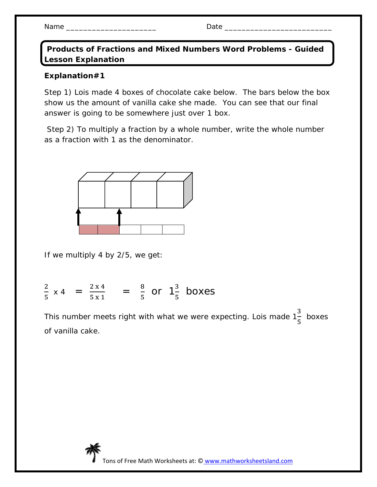Name \_\_\_\_\_\_\_\_\_\_\_\_\_\_\_\_\_\_\_\_\_ Date \_\_\_\_\_\_\_\_\_\_\_\_\_\_\_\_\_\_\_\_\_\_\_\_\_

 **Products of Fractions and Mixed Numbers Word Problems - Guided Lesson Explanation** 

## **Explanation#1**

Step 1) Lois made 4 boxes of chocolate cake below. The bars below the box show us the amount of vanilla cake she made. You can see that our final answer is going to be somewhere just over 1 box.

 Step 2) To multiply a fraction by a whole number, write the whole number as a fraction with 1 as the denominator.



If we multiply 4 by 2/5, we get:

 $\overline{c}$  $\frac{2}{5}$  x 4 =  $\frac{2 \times 4}{5 \times 1}$  $\frac{2 \times 4}{5 \times 1} = \frac{8}{5}$  $rac{8}{5}$  or  $1\frac{3}{5}$  boxes

This number meets right with what we were expecting. Lois made 1 ଷ ହ boxes of vanilla cake.

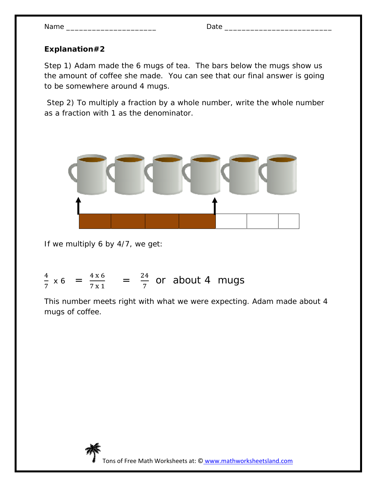| Name |  |
|------|--|
|------|--|

## **Explanation#2**

Step 1) Adam made the 6 mugs of tea. The bars below the mugs show us the amount of coffee she made. You can see that our final answer is going to be somewhere around 4 mugs.

 Step 2) To multiply a fraction by a whole number, write the whole number as a fraction with 1 as the denominator.



If we multiply 6 by 4/7, we get:

## ସ  $\frac{4}{7}$  x 6 =  $\frac{4 \times 6}{7 \times 1}$  $\frac{4 \times 6}{7 \times 1}$  =  $\frac{24}{7}$  or about 4 mugs

This number meets right with what we were expecting. Adam made about 4 mugs of coffee.